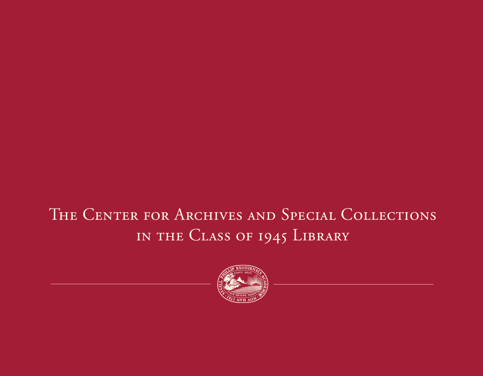# The Center for Archives and Special Collections in the Class of 1945 Library

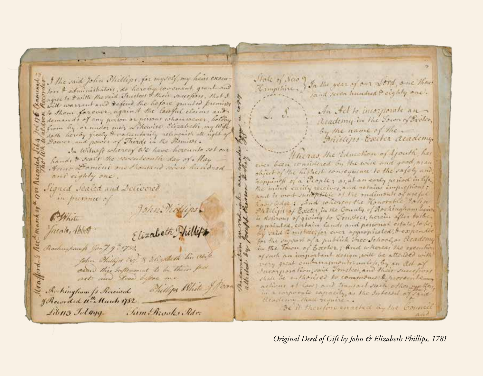33. The said John Phillips, for myself, my hear excu-Store & administrators, do heroby covenant grant and Eagree to Froith the said Arather & their successors, that I & will warrant and defend the before punted premises 8 3 to them farewer, against the lawful claims and Sademards of any person or persons whom wever, holding Sam by or under mes Likewise Elizabeth my Wife doth hereby freely & valuntarily relinquist all right of In Wilmoft whereof We have how unto set our hands & seals the securities of the day of May Anno Damini one Promined some hundred and eighty one. Juqued Jealed and Delivered in presence of John Nedlips Phil Elizabeth Shillips Jacobs Abbot Rochinghamp Jon 7 9 178 John Hilliger Esq & Elizabeth his conte cand this influencet to be their for ast and Your before me Phillips White of from S. R. Kinghum for Received & Recorded 11th Hanh 1752 Jam Rocks Rdr.  $Li<sub>113</sub>$  Jelagg.

Hale of Seio In the year of our abord, one than Comptione. land seven hundred & eighty one.

 $\mathcal{L}$ ,  $\partial$ .

An Ad to incorporate an Reademy in the Town of Eviter, by the name of the Pristips Excher deadeny.

theras, the iduction of youth, has ever been considered by the wife and good, area object of the highest consequence to the safety and rappingh of a veople; and an early period in life the mind early receive, and retains impressions; and is most supporter of the radiusals of useful knowledge: And whosen the Constable tohn Theilight of Exeter in the County of Rockingham ligner is desirous of giving to constees, herein after to the, appeainted, corbain tande and personal estate, todo, by vaid construction over appropriated, & expendit for the support of a publick thee School, or Eleaderny in the Town of Exolor; and wherear the execution of such an important delign, will be attended with very great embassassiontransceletiley an alt of Incorporation, said Trustees, and their successors that be authorized to commons & provention actions at case; and transact such other synthes, in a corporate capacity, as the subset of said desidency that requires. Be it therefore enacted by the Council

Original Deed of Gift by John & Elizabeth Phillips, 1781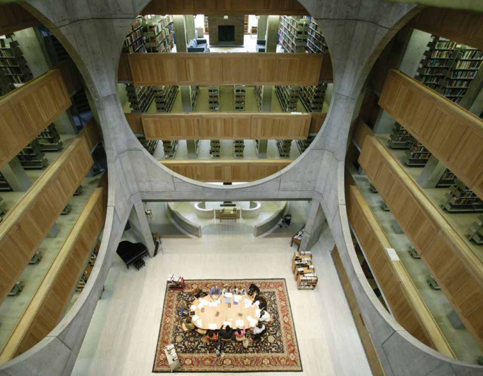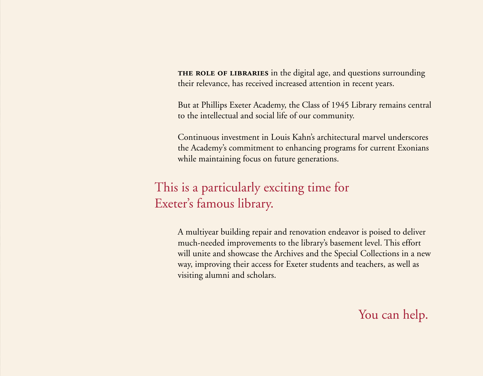**the role of libraries** in the digital age, and questions surrounding their relevance, has received increased attention in recent years.

But at Phillips Exeter Academy, the Class of 1945 Library remains central to the intellectual and social life of our community.

Continuous investment in Louis Kahn's architectural marvel underscores the Academy's commitment to enhancing programs for current Exonians while maintaining focus on future generations.

### This is a particularly exciting time for Exeter's famous library.

A multiyear building repair and renovation endeavor is poised to deliver much-needed improvements to the library's basement level. This effort will unite and showcase the Archives and the Special Collections in a new way, improving their access for Exeter students and teachers, as well as visiting alumni and scholars.

You can help.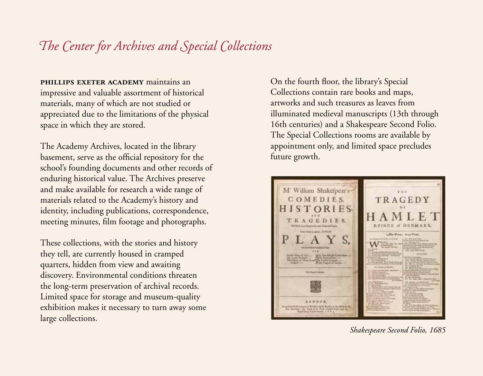### *The Center for Archives and Special Collections*

**PHILLIPS EXETER ACADEMY** maintains an impressive and valuable assortment of historical materials, many of which are not studied or appreciated due to the limitations of the physical space in which they are stored.

The Academy Archives, located in the library basement, serve as the official repository for the school's founding documents and other records of enduring historical value. The Archives preserve and make available for research a wide range of materials related to the Academy's history and identity, including publications, correspondence, meeting minutes, film footage and photographs.

These collections, with the stories and history they tell, are currently housed in cramped quarters, hidden from view and awaiting discovery. Environmental conditions threaten the long-term preservation of archival records. Limited space for storage and museum-quality exhibition makes it necessary to turn away some large collections.

On the fourth floor, the library's Special Collections contain rare books and maps, artworks and such treasures as leaves from illuminated medieval manuscripts (13th through 16th centuries) and a Shakespeare Second Folio. The Special Collections rooms are available by appointment only, and limited space precludes future growth.



*Shakespeare Second Folio, 1685*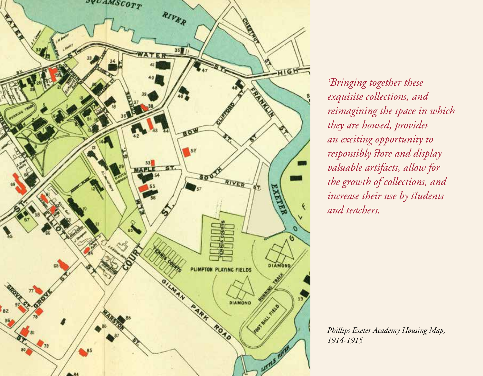

*Bringing together these exquisite collections, and reimagining the space in which they are housed, provides an exciting opportunity to responsibly sore and display valuable artifacts, allow for the growth of collections, and increase their use by sudents and teachers.*

*Phillips Exeter Academy Housing Map, 1914-1915*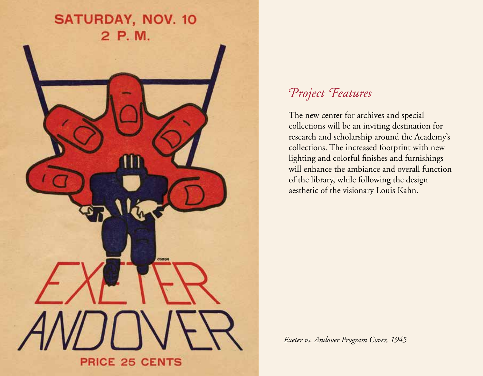

#### *Project Features*

The new center for archives and special collections will be an inviting destination for research and scholarship around the Academy's collections. The increased footprint with new lighting and colorful finishes and furnishings will enhance the ambiance and overall function of the library, while following the design aesthetic of the visionary Louis Kahn.

*Exeter vs. Andover Program Cover, 1945*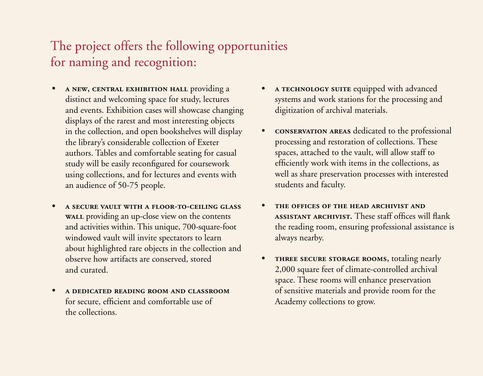# The project offers the following opportunities for naming and recognition:

- **• a new, central exhibition hall** providing a distinct and welcoming space for study, lectures and events. Exhibition cases will showcase changing displays of the rarest and most interesting objects in the collection, and open bookshelves will display the library's considerable collection of Exeter authors. Tables and comfortable seating for casual study will be easily reconfigured for coursework using collections, and for lectures and events with an audience of 50-75 people.
- **• a secure vault with a floor-to-ceiling glass** wall providing an up-close view on the contents and activities within. This unique, 700-square-foot windowed vault will invite spectators to learn about highlighted rare objects in the collection and observe how artifacts are conserved, stored and curated.
- **• a dedicated reading room and classroom**  for secure, efficient and comfortable use of the collections.
- **• a technology suite** equipped with advanced systems and work stations for the processing and digitization of archival materials.
- **• conservation areas** dedicated to the professional processing and restoration of collections. These spaces, attached to the vault, will allow staff to efficiently work with items in the collections, as well as share preservation processes with interested students and faculty.
- **• the offices of the head archivist and assistant archivist.** These staff offices will flank the reading room, ensuring professional assistance is always nearby.
- **THREE SECURE STORAGE ROOMS, totaling nearly** 2,000 square feet of climate-controlled archival space. These rooms will enhance preservation of sensitive materials and provide room for the Academy collections to grow.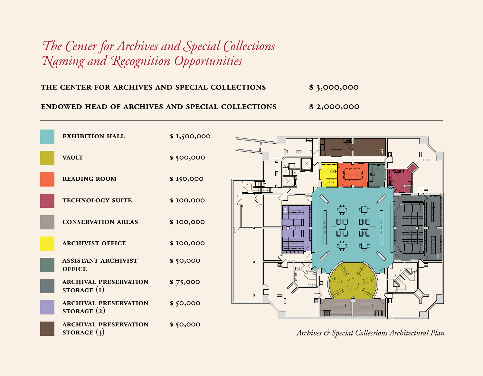## *The Center for Archives and Special Collections Naming and Recognition Opportunities*

#### **the center for archives and special collections**  $$3,000,000$

#### **endowed head of archives and special collections \$ 2,000,000**





**storage (3)** *Archives & Special Collections Architectural Plan*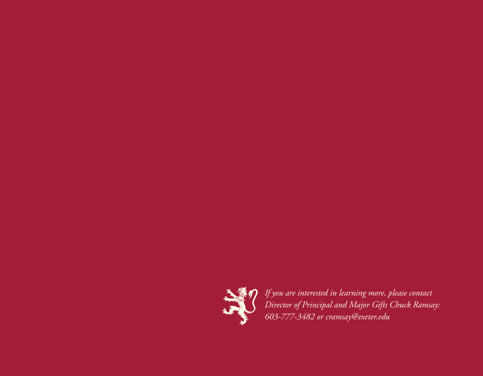

*If you are interested in learning more, please contact Director of Principal and Major Gifts Chuck Ramsay: 603-777-3482 or cramsay@exeter.edu*